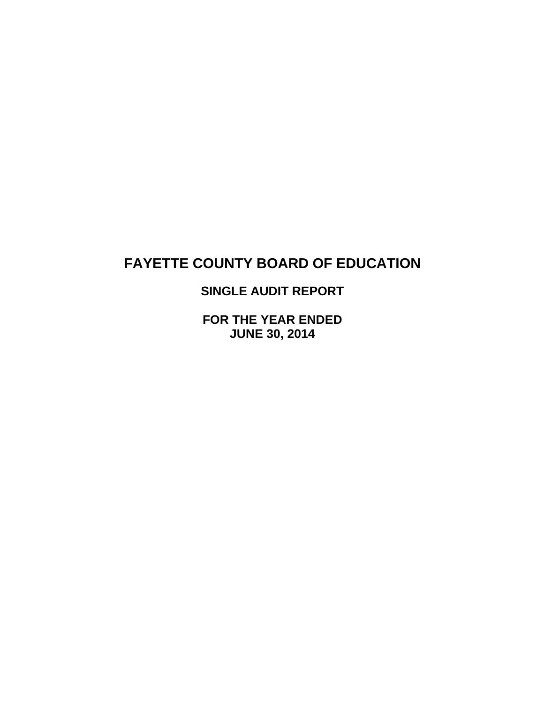**SINGLE AUDIT REPORT** 

**FOR THE YEAR ENDED JUNE 30, 2014**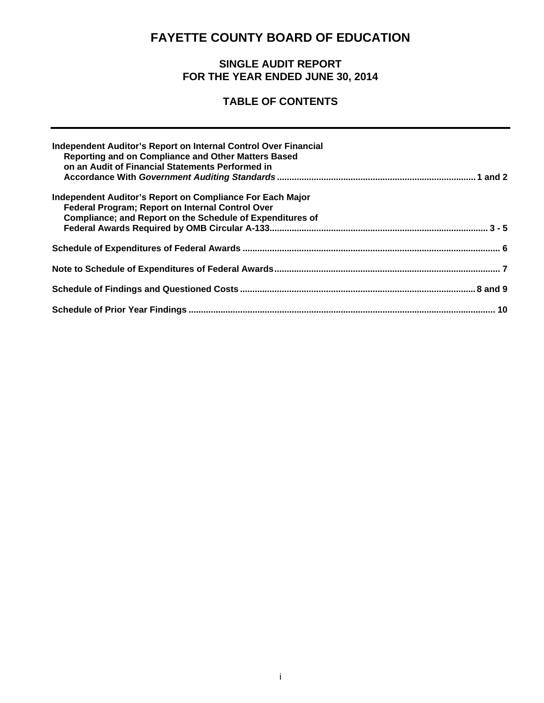## **SINGLE AUDIT REPORT FOR THE YEAR ENDED JUNE 30, 2014**

## **TABLE OF CONTENTS**

| Independent Auditor's Report on Internal Control Over Financial<br>Reporting and on Compliance and Other Matters Based<br>on an Audit of Financial Statements Performed in |  |
|----------------------------------------------------------------------------------------------------------------------------------------------------------------------------|--|
|                                                                                                                                                                            |  |
| Independent Auditor's Report on Compliance For Each Major<br>Federal Program; Report on Internal Control Over                                                              |  |
| <b>Compliance; and Report on the Schedule of Expenditures of</b>                                                                                                           |  |
|                                                                                                                                                                            |  |
|                                                                                                                                                                            |  |
|                                                                                                                                                                            |  |
|                                                                                                                                                                            |  |
|                                                                                                                                                                            |  |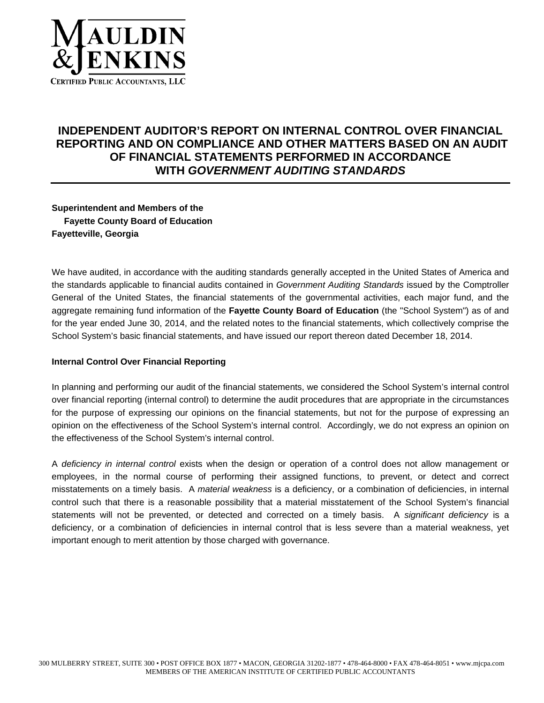

## **INDEPENDENT AUDITOR'S REPORT ON INTERNAL CONTROL OVER FINANCIAL REPORTING AND ON COMPLIANCE AND OTHER MATTERS BASED ON AN AUDIT OF FINANCIAL STATEMENTS PERFORMED IN ACCORDANCE WITH** *GOVERNMENT AUDITING STANDARDS*

**Superintendent and Members of the Fayette County Board of Education Fayetteville, Georgia** 

We have audited, in accordance with the auditing standards generally accepted in the United States of America and the standards applicable to financial audits contained in *Government Auditing Standards* issued by the Comptroller General of the United States, the financial statements of the governmental activities, each major fund, and the aggregate remaining fund information of the **Fayette County Board of Education** (the "School System") as of and for the year ended June 30, 2014, and the related notes to the financial statements, which collectively comprise the School System's basic financial statements, and have issued our report thereon dated December 18, 2014.

### **Internal Control Over Financial Reporting**

In planning and performing our audit of the financial statements, we considered the School System's internal control over financial reporting (internal control) to determine the audit procedures that are appropriate in the circumstances for the purpose of expressing our opinions on the financial statements, but not for the purpose of expressing an opinion on the effectiveness of the School System's internal control. Accordingly, we do not express an opinion on the effectiveness of the School System's internal control.

A *deficiency in internal control* exists when the design or operation of a control does not allow management or employees, in the normal course of performing their assigned functions, to prevent, or detect and correct misstatements on a timely basis. A *material weakness* is a deficiency, or a combination of deficiencies, in internal control such that there is a reasonable possibility that a material misstatement of the School System's financial statements will not be prevented, or detected and corrected on a timely basis. A *significant deficiency* is a deficiency, or a combination of deficiencies in internal control that is less severe than a material weakness, yet important enough to merit attention by those charged with governance.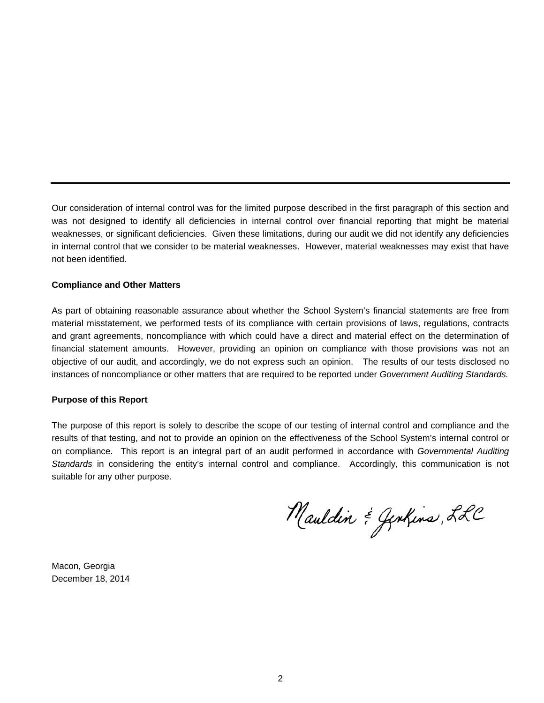Our consideration of internal control was for the limited purpose described in the first paragraph of this section and was not designed to identify all deficiencies in internal control over financial reporting that might be material weaknesses, or significant deficiencies. Given these limitations, during our audit we did not identify any deficiencies in internal control that we consider to be material weaknesses. However, material weaknesses may exist that have not been identified.

#### **Compliance and Other Matters**

As part of obtaining reasonable assurance about whether the School System's financial statements are free from material misstatement, we performed tests of its compliance with certain provisions of laws, regulations, contracts and grant agreements, noncompliance with which could have a direct and material effect on the determination of financial statement amounts. However, providing an opinion on compliance with those provisions was not an objective of our audit, and accordingly, we do not express such an opinion. The results of our tests disclosed no instances of noncompliance or other matters that are required to be reported under *Government Auditing Standards.* 

#### **Purpose of this Report**

The purpose of this report is solely to describe the scope of our testing of internal control and compliance and the results of that testing, and not to provide an opinion on the effectiveness of the School System's internal control or on compliance. This report is an integral part of an audit performed in accordance with *Governmental Auditing Standards* in considering the entity's internal control and compliance. Accordingly, this communication is not suitable for any other purpose.

Mauldin & Genhins, LLC

Macon, Georgia December 18, 2014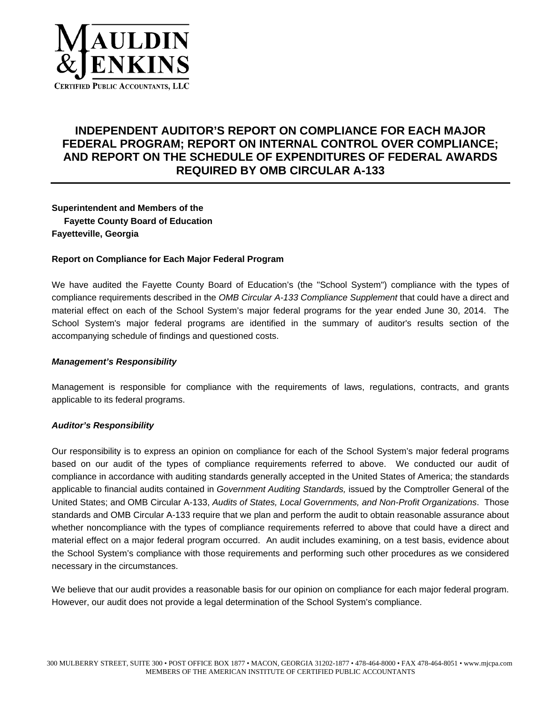

## **INDEPENDENT AUDITOR'S REPORT ON COMPLIANCE FOR EACH MAJOR FEDERAL PROGRAM; REPORT ON INTERNAL CONTROL OVER COMPLIANCE; AND REPORT ON THE SCHEDULE OF EXPENDITURES OF FEDERAL AWARDS REQUIRED BY OMB CIRCULAR A-133**

**Superintendent and Members of the Fayette County Board of Education Fayetteville, Georgia** 

### **Report on Compliance for Each Major Federal Program**

We have audited the Fayette County Board of Education's (the "School System") compliance with the types of compliance requirements described in the *OMB Circular A-133 Compliance Supplement* that could have a direct and material effect on each of the School System's major federal programs for the year ended June 30, 2014. The School System's major federal programs are identified in the summary of auditor's results section of the accompanying schedule of findings and questioned costs.

#### *Management's Responsibility*

Management is responsible for compliance with the requirements of laws, regulations, contracts, and grants applicable to its federal programs.

#### *Auditor's Responsibility*

Our responsibility is to express an opinion on compliance for each of the School System's major federal programs based on our audit of the types of compliance requirements referred to above. We conducted our audit of compliance in accordance with auditing standards generally accepted in the United States of America; the standards applicable to financial audits contained in *Government Auditing Standards,* issued by the Comptroller General of the United States; and OMB Circular A-133, *Audits of States, Local Governments, and Non-Profit Organizations*. Those standards and OMB Circular A-133 require that we plan and perform the audit to obtain reasonable assurance about whether noncompliance with the types of compliance requirements referred to above that could have a direct and material effect on a major federal program occurred. An audit includes examining, on a test basis, evidence about the School System's compliance with those requirements and performing such other procedures as we considered necessary in the circumstances.

We believe that our audit provides a reasonable basis for our opinion on compliance for each major federal program. However, our audit does not provide a legal determination of the School System's compliance.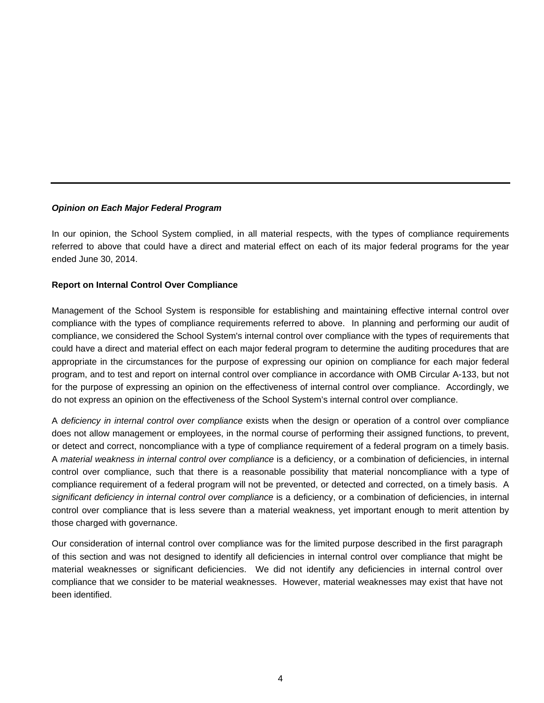### *Opinion on Each Major Federal Program*

In our opinion, the School System complied, in all material respects, with the types of compliance requirements referred to above that could have a direct and material effect on each of its major federal programs for the year ended June 30, 2014.

#### **Report on Internal Control Over Compliance**

Management of the School System is responsible for establishing and maintaining effective internal control over compliance with the types of compliance requirements referred to above. In planning and performing our audit of compliance, we considered the School System's internal control over compliance with the types of requirements that could have a direct and material effect on each major federal program to determine the auditing procedures that are appropriate in the circumstances for the purpose of expressing our opinion on compliance for each major federal program, and to test and report on internal control over compliance in accordance with OMB Circular A-133, but not for the purpose of expressing an opinion on the effectiveness of internal control over compliance. Accordingly, we do not express an opinion on the effectiveness of the School System's internal control over compliance.

A *deficiency in internal control over compliance* exists when the design or operation of a control over compliance does not allow management or employees, in the normal course of performing their assigned functions, to prevent, or detect and correct, noncompliance with a type of compliance requirement of a federal program on a timely basis. A *material weakness in internal control over compliance* is a deficiency, or a combination of deficiencies, in internal control over compliance, such that there is a reasonable possibility that material noncompliance with a type of compliance requirement of a federal program will not be prevented, or detected and corrected, on a timely basis. A *significant deficiency in internal control over compliance* is a deficiency, or a combination of deficiencies, in internal control over compliance that is less severe than a material weakness, yet important enough to merit attention by those charged with governance.

Our consideration of internal control over compliance was for the limited purpose described in the first paragraph of this section and was not designed to identify all deficiencies in internal control over compliance that might be material weaknesses or significant deficiencies. We did not identify any deficiencies in internal control over compliance that we consider to be material weaknesses. However, material weaknesses may exist that have not been identified.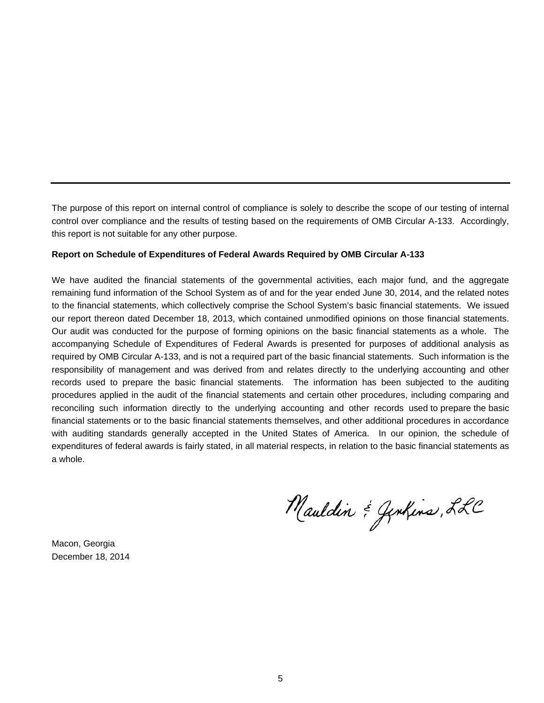The purpose of this report on internal control of compliance is solely to describe the scope of our testing of internal control over compliance and the results of testing based on the requirements of OMB Circular A-133. Accordingly, this report is not suitable for any other purpose.

#### **Report on Schedule of Expenditures of Federal Awards Required by OMB Circular A-133**

We have audited the financial statements of the governmental activities, each major fund, and the aggregate remaining fund information of the School System as of and for the year ended June 30, 2014, and the related notes to the financial statements, which collectively comprise the School System's basic financial statements. We issued our report thereon dated December 18, 2013, which contained unmodified opinions on those financial statements. Our audit was conducted for the purpose of forming opinions on the basic financial statements as a whole. The accompanying Schedule of Expenditures of Federal Awards is presented for purposes of additional analysis as required by OMB Circular A-133, and is not a required part of the basic financial statements. Such information is the responsibility of management and was derived from and relates directly to the underlying accounting and other records used to prepare the basic financial statements. The information has been subjected to the auditing procedures applied in the audit of the financial statements and certain other procedures, including comparing and reconciling such information directly to the underlying accounting and other records used to prepare the basic financial statements or to the basic financial statements themselves, and other additional procedures in accordance with auditing standards generally accepted in the United States of America. In our opinion, the schedule of expenditures of federal awards is fairly stated, in all material respects, in relation to the basic financial statements as a whole.

Mauldin & Genhins, LLC

Macon, Georgia December 18, 2014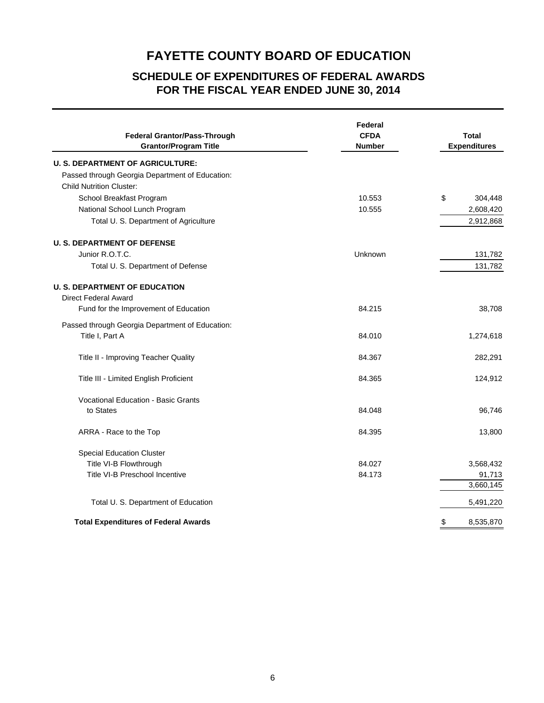## **SCHEDULE OF EXPENDITURES OF FEDERAL AWARDS FOR THE FISCAL YEAR ENDED JUNE 30, 2014**

| <b>Federal Grantor/Pass-Through</b><br><b>Grantor/Program Title</b> | Federal<br><b>CFDA</b><br><b>Number</b> | <b>Total</b><br><b>Expenditures</b> |
|---------------------------------------------------------------------|-----------------------------------------|-------------------------------------|
| <b>U. S. DEPARTMENT OF AGRICULTURE:</b>                             |                                         |                                     |
| Passed through Georgia Department of Education:                     |                                         |                                     |
| <b>Child Nutrition Cluster:</b>                                     |                                         |                                     |
| School Breakfast Program                                            | 10.553                                  | \$<br>304,448                       |
| National School Lunch Program                                       | 10.555                                  | 2,608,420                           |
| Total U. S. Department of Agriculture                               |                                         | 2,912,868                           |
| <b>U. S. DEPARTMENT OF DEFENSE</b>                                  |                                         |                                     |
| Junior R.O.T.C.                                                     | Unknown                                 | 131,782                             |
| Total U. S. Department of Defense                                   |                                         | 131,782                             |
| <b>U. S. DEPARTMENT OF EDUCATION</b><br>Direct Federal Award        |                                         |                                     |
| Fund for the Improvement of Education                               | 84.215                                  | 38,708                              |
| Passed through Georgia Department of Education:                     |                                         |                                     |
| Title I, Part A                                                     | 84.010                                  | 1,274,618                           |
| Title II - Improving Teacher Quality                                | 84.367                                  | 282,291                             |
| Title III - Limited English Proficient                              | 84.365                                  | 124,912                             |
| <b>Vocational Education - Basic Grants</b>                          |                                         |                                     |
| to States                                                           | 84.048                                  | 96,746                              |
| ARRA - Race to the Top                                              | 84.395                                  | 13,800                              |
| <b>Special Education Cluster</b>                                    |                                         |                                     |
| Title VI-B Flowthrough                                              | 84.027                                  | 3,568,432                           |
| Title VI-B Preschool Incentive                                      | 84.173                                  | 91,713                              |
|                                                                     |                                         | 3,660,145                           |
| Total U. S. Department of Education                                 |                                         | 5,491,220                           |
| <b>Total Expenditures of Federal Awards</b>                         |                                         | \$<br>8,535,870                     |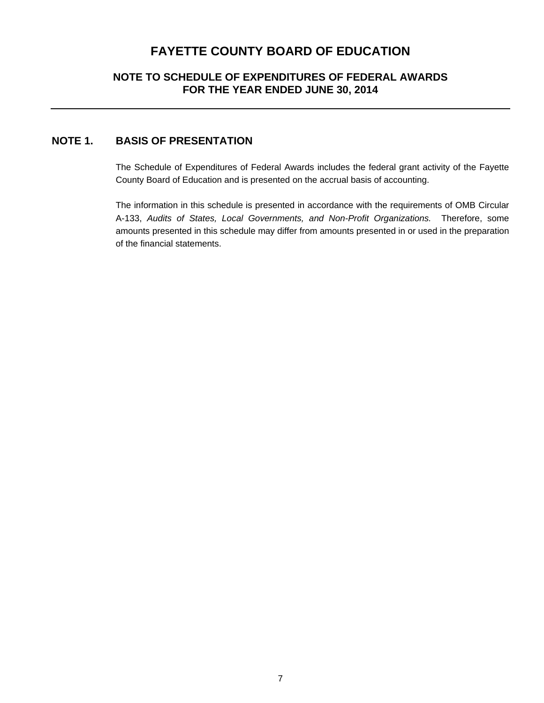### **NOTE TO SCHEDULE OF EXPENDITURES OF FEDERAL AWARDS FOR THE YEAR ENDED JUNE 30, 2014**

## **NOTE 1. BASIS OF PRESENTATION**

The Schedule of Expenditures of Federal Awards includes the federal grant activity of the Fayette County Board of Education and is presented on the accrual basis of accounting.

The information in this schedule is presented in accordance with the requirements of OMB Circular A-133, *Audits of States, Local Governments, and Non-Profit Organizations.* Therefore, some amounts presented in this schedule may differ from amounts presented in or used in the preparation of the financial statements.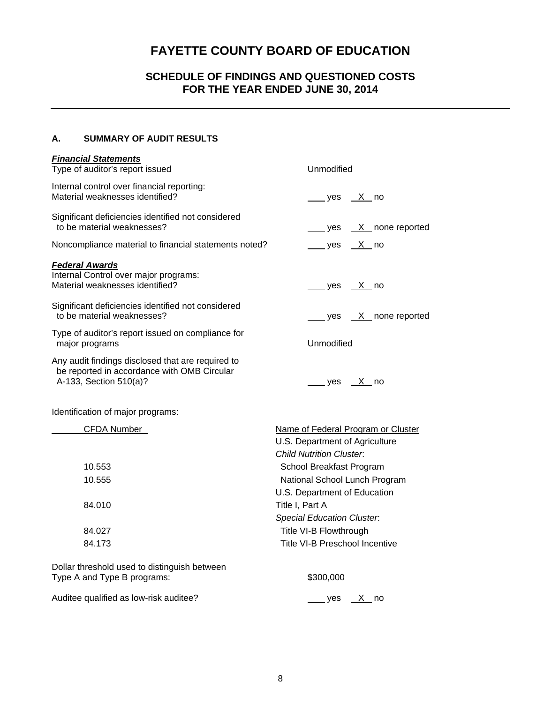### **SCHEDULE OF FINDINGS AND QUESTIONED COSTS FOR THE YEAR ENDED JUNE 30, 2014**

### **A. SUMMARY OF AUDIT RESULTS**

| <b>Financial Statements</b><br>Type of auditor's report issued                                                             | Unmodified                                    |
|----------------------------------------------------------------------------------------------------------------------------|-----------------------------------------------|
| Internal control over financial reporting:<br>Material weaknesses identified?                                              | $yes$ $X no$                                  |
| Significant deficiencies identified not considered<br>to be material weaknesses?                                           | $\frac{1}{2}$ yes $\frac{X}{X}$ none reported |
| Noncompliance material to financial statements noted?                                                                      | $yes \tX no$                                  |
| <b>Federal Awards</b><br>Internal Control over major programs:<br>Material weaknesses identified?                          | yes X no                                      |
| Significant deficiencies identified not considered<br>to be material weaknesses?                                           | $\frac{1}{2}$ yes $\frac{1}{2}$ none reported |
| Type of auditor's report issued on compliance for<br>major programs                                                        | Unmodified                                    |
| Any audit findings disclosed that are required to<br>be reported in accordance with OMB Circular<br>A-133, Section 510(a)? | yes $X$ no                                    |

Identification of major programs:

| <b>CFDA Number</b> | Name of Federal Program or Cluster |
|--------------------|------------------------------------|
|                    | U.S. Department of Agriculture     |
|                    | <b>Child Nutrition Cluster.</b>    |
| 10.553             | School Breakfast Program           |
| 10.555             | National School Lunch Program      |
|                    | U.S. Department of Education       |
| 84.010             | Title I, Part A                    |
|                    | <b>Special Education Cluster.</b>  |
| 84.027             | Title VI-B Flowthrough             |
| 84.173             | Title VI-B Preschool Incentive     |
|                    |                                    |

Dollar threshold used to distinguish between Type A and Type B programs: \$300,000

Auditee qualified as low-risk auditee?  $\frac{1}{\sqrt{2}}$  yes  $\frac{X}{X}$  no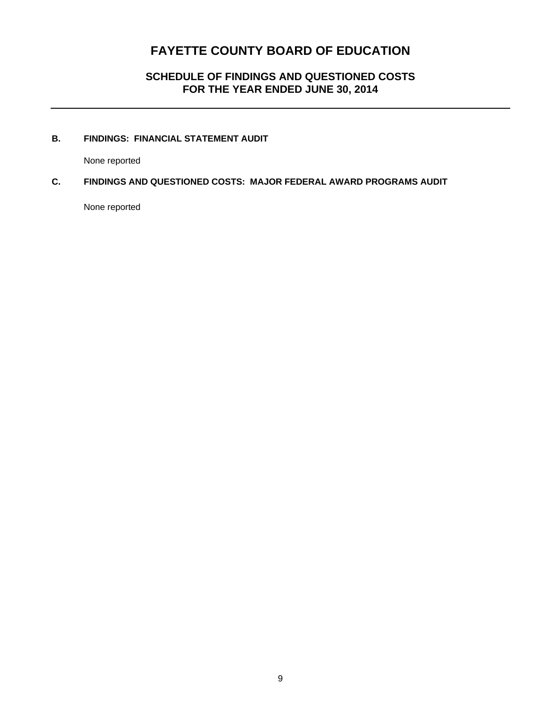## **SCHEDULE OF FINDINGS AND QUESTIONED COSTS FOR THE YEAR ENDED JUNE 30, 2014**

### **B. FINDINGS: FINANCIAL STATEMENT AUDIT**

None reported

### **C. FINDINGS AND QUESTIONED COSTS: MAJOR FEDERAL AWARD PROGRAMS AUDIT**

None reported